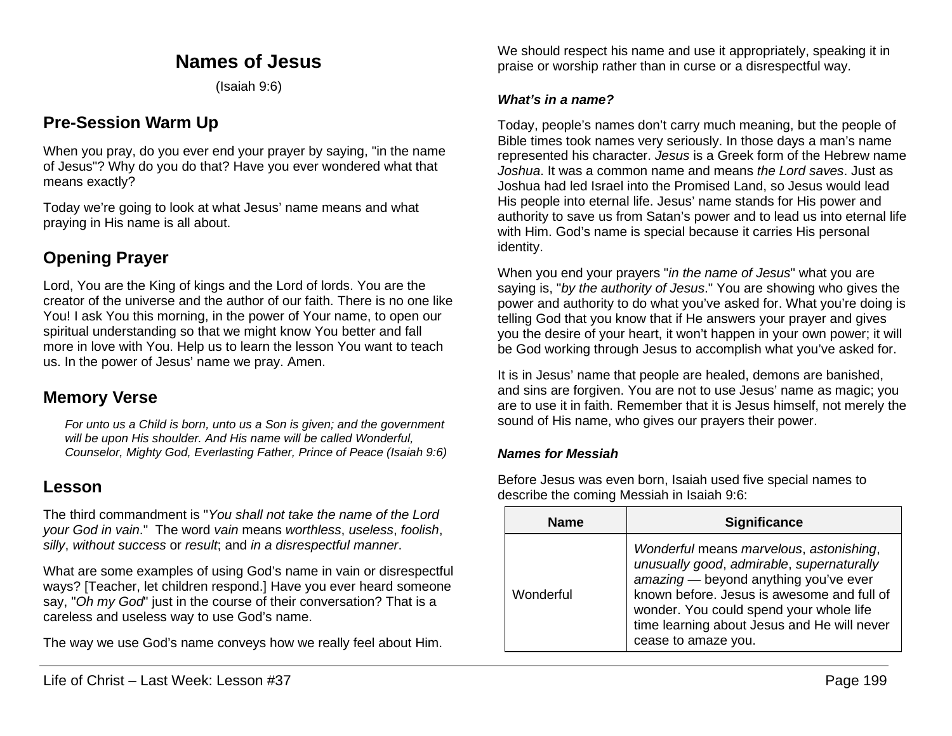## **Names of Jesus**

(Isaiah 9:6)

# **Pre-Session Warm Up**

When you pray, do you ever end your prayer by saying, "in the name of Jesus"? Why do you do that? Have you ever wondered what that means exactly?

Today we're going to look at what Jesus' name means and what praying in His name is all about.

# **Opening Prayer**

Lord, You are the King of kings and the Lord of lords. You are the creator of the universe and the author of our faith. There is no one like You! I ask You this morning, in the power of Your name, to open our spiritual understanding so that we might know You better and fall more in love with You. Help us to learn the lesson You want to teach us. In the power of Jesus' name we pray. Amen.

## **Memory Verse**

*For unto us a Child is born, unto us a Son is given; and the government will be upon His shoulder. And His name will be called Wonderful, Counselor, Mighty God, Everlasting Father, Prince of Peace (Isaiah 9:6)*

### **Lesson**

The third commandment is "*You shall not take the name of the Lord your God in vain*." The word *vain* means *worthless*, *useless*, *foolish*, *silly*, *without success* or *result*; and *in a disrespectful manner*.

What are some examples of using God's name in vain or disrespectful ways? [Teacher, let children respond.] Have you ever heard someone say, "*Oh my God*" just in the course of their conversation? That is a careless and useless way to use God's name.

The way we use God's name conveys how we really feel about Him.

#### *What's in a name?*

Today, people's names don't carry much meaning, but the people of Bible times took names very seriously. In those days a man's name represented his character. *Jesus* is a Greek form of the Hebrew name *Joshua*. It was a common name and means *the Lord saves*. Just as Joshua had led Israel into the Promised Land, so Jesus would lead His people into eternal life. Jesus' name stands for His power and authority to save us from Satan's power and to lead us into eternal life with Him. God's name is special because it carries His personal identity.

When you end your prayers "*in the name of Jesus*" what you are saying is, "*by the authority of Jesus*." You are showing who gives the power and authority to do what you've asked for. What you're doing is telling God that you know that if He answers your prayer and gives you the desire of your heart, it won't happen in your own power; it will be God working through Jesus to accomplish what you've asked for.

It is in Jesus' name that people are healed, demons are banished, and sins are forgiven. You are not to use Jesus' name as magic; you are to use it in faith. Remember that it is Jesus himself, not merely the sound of His name, who gives our prayers their power.

#### *Names for Messiah*

Before Jesus was even born, Isaiah used five special names to describe the coming Messiah in Isaiah 9:6:

| <b>Name</b> | <b>Significance</b>                                                                                                                                                                                                                                                                          |  |  |
|-------------|----------------------------------------------------------------------------------------------------------------------------------------------------------------------------------------------------------------------------------------------------------------------------------------------|--|--|
| Wonderful   | Wonderful means marvelous, astonishing,<br>unusually good, admirable, supernaturally<br>amazing - beyond anything you've ever<br>known before. Jesus is awesome and full of<br>wonder. You could spend your whole life<br>time learning about Jesus and He will never<br>cease to amaze you. |  |  |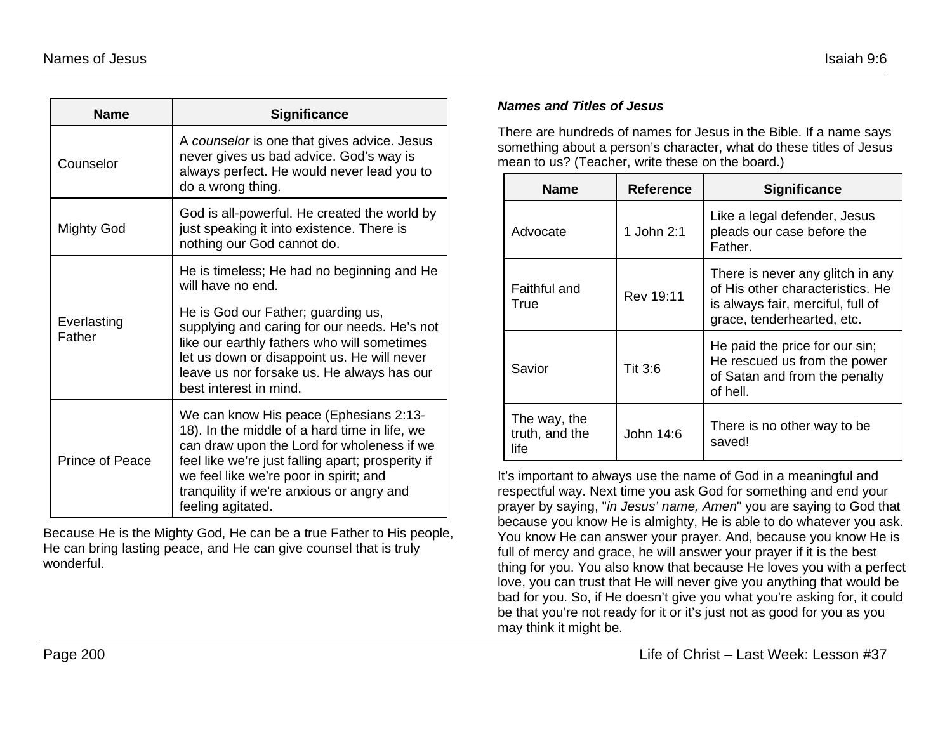| <b>Name</b>            | <b>Significance</b>                                                                                                                                                                                                                                                                                    |  |
|------------------------|--------------------------------------------------------------------------------------------------------------------------------------------------------------------------------------------------------------------------------------------------------------------------------------------------------|--|
| Counselor              | A counselor is one that gives advice. Jesus<br>never gives us bad advice. God's way is<br>always perfect. He would never lead you to<br>do a wrong thing.                                                                                                                                              |  |
| Mighty God             | God is all-powerful. He created the world by<br>just speaking it into existence. There is<br>nothing our God cannot do.                                                                                                                                                                                |  |
| Everlasting<br>Father  | He is timeless; He had no beginning and He<br>will have no end.<br>He is God our Father; guarding us,<br>supplying and caring for our needs. He's not                                                                                                                                                  |  |
|                        | like our earthly fathers who will sometimes<br>let us down or disappoint us. He will never<br>leave us nor forsake us. He always has our<br>best interest in mind.                                                                                                                                     |  |
| <b>Prince of Peace</b> | We can know His peace (Ephesians 2:13-<br>18). In the middle of a hard time in life, we<br>can draw upon the Lord for wholeness if we<br>feel like we're just falling apart; prosperity if<br>we feel like we're poor in spirit; and<br>tranquility if we're anxious or angry and<br>feeling agitated. |  |

Because He is the Mighty God, He can be a true Father to His people, He can bring lasting peace, and He can give counsel that is truly wonderful.

#### *Names and Titles of Jesus*

There are hundreds of names for Jesus in the Bible. If a name says something about a person's character, what do these titles of Jesus mean to us? (Teacher, write these on the board.)

| <b>Name</b>                            | Reference  | <b>Significance</b>                                                                                                                     |
|----------------------------------------|------------|-----------------------------------------------------------------------------------------------------------------------------------------|
| Advocate                               | 1 John 2:1 | Like a legal defender, Jesus<br>pleads our case before the<br>Father.                                                                   |
| Faithful and<br>True                   | Rev 19:11  | There is never any glitch in any<br>of His other characteristics. He<br>is always fair, merciful, full of<br>grace, tenderhearted, etc. |
| Savior                                 | Tit 3:6    | He paid the price for our sin;<br>He rescued us from the power<br>of Satan and from the penalty<br>of hell.                             |
| The way, the<br>truth, and the<br>life | John 14:6  | There is no other way to be<br>saved!                                                                                                   |

It's important to always use the name of God in a meaningful and respectful way. Next time you ask God for something and end your prayer by saying, "*in Jesus' name, Amen*" you are saying to God that because you know He is almighty, He is able to do whatever you ask. You know He can answer your prayer. And, because you know He is full of mercy and grace, he will answer your prayer if it is the best thing for you. You also know that because He loves you with a perfect love, you can trust that He will never give you anything that would be bad for you. So, if He doesn't give you what you're asking for, it could be that you're not ready for it or it's just not as good for you as you may think it might be.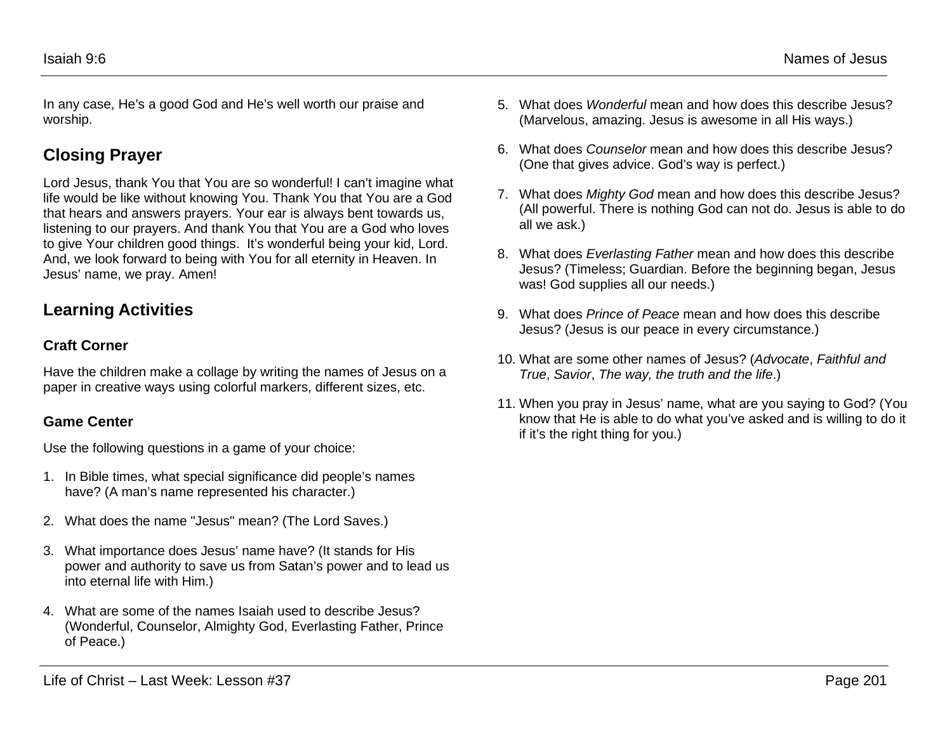In any case, He's a good God and He's well worth our praise and worship.

# **Closing Prayer**

Lord Jesus, thank You that You are so wonderful! I can't imagine what life would be like without knowing You. Thank You that You are a God that hears and answers prayers. Your ear is always bent towards us, listening to our prayers. And thank You that You are a God who loves to give Your children good things. It's wonderful being your kid, Lord. And, we look forward to being with You for all eternity in Heaven. In Jesus' name, we pray. Amen!

## **Learning Activities**

### **Craft Corner**

Have the children make a collage by writing the names of Jesus on a paper in creative ways using colorful markers, different sizes, etc.

### **Game Center**

Use the following questions in a game of your choice:

- 1. In Bible times, what special significance did people's names have? (A man's name represented his character.)
- 2. What does the name "Jesus" mean? (The Lord Saves.)
- 3. What importance does Jesus' name have? (It stands for His power and authority to save us from Satan's power and to lead us into eternal life with Him.)
- 4. What are some of the names Isaiah used to describe Jesus? (Wonderful, Counselor, Almighty God, Everlasting Father, Prince of Peace.)
- 5. What does *Wonderful* mean and how does this describe Jesus? (Marvelous, amazing. Jesus is awesome in all His ways.)
- 6. What does *Counselor* mean and how does this describe Jesus? (One that gives advice. God's way is perfect.)
- 7. What does *Mighty God* mean and how does this describe Jesus? (All powerful. There is nothing God can not do. Jesus is able to do all we ask.)
- 8. What does *Everlasting Father* mean and how does this describe Jesus? (Timeless; Guardian. Before the beginning began, Jesus was! God supplies all our needs.)
- 9. What does *Prince of Peace* mean and how does this describe Jesus? (Jesus is our peace in every circumstance.)
- 10. What are some other names of Jesus? (*Advocate*, *Faithful and True*, *Savior*, *The way, the truth and the life*.)
- 11. When you pray in Jesus' name, what are you saying to God? (You know that He is able to do what you've asked and is willing to do it if it's the right thing for you.)